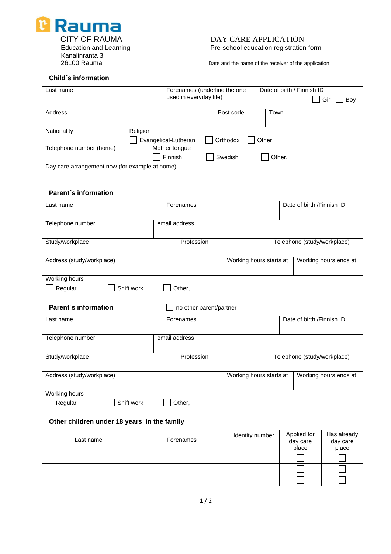

### CITY OF RAUMA DAY CARE APPLICATION Education and Learning **Pre-school education registration form**

Date and the name of the receiver of the application

#### **Child´s information**

| Last name                                      |          | Forenames (underline the one |                        | Date of birth / Finnish ID |             |
|------------------------------------------------|----------|------------------------------|------------------------|----------------------------|-------------|
|                                                |          |                              | used in everyday life) |                            | Girl<br>Boy |
|                                                |          |                              |                        |                            |             |
| Address                                        |          |                              | Post code              | Town                       |             |
|                                                |          |                              |                        |                            |             |
|                                                |          |                              |                        |                            |             |
| Nationality                                    | Religion |                              |                        |                            |             |
|                                                |          | Evangelical-Lutheran         | Orthodox               | Other,                     |             |
| Telephone number (home)                        |          | Mother tongue                |                        |                            |             |
|                                                |          | Finnish                      | Swedish                | Other,                     |             |
| Day care arrangement now (for example at home) |          |                              |                        |                            |             |
|                                                |          |                              |                        |                            |             |

#### **Parent´s information**

| Last name                              | Forenames     |                         | Date of birth / Finnish ID  |
|----------------------------------------|---------------|-------------------------|-----------------------------|
| Telephone number                       | email address |                         |                             |
| Study/workplace                        | Profession    |                         | Telephone (study/workplace) |
| Address (study/workplace)              |               | Working hours starts at | Working hours ends at       |
| Working hours<br>Regular<br>Shift work | Other,        |                         |                             |

#### **Parent's information no other parent/partner**

| Last name                 | Forenames     |                         | Date of birth / Finnish ID  |
|---------------------------|---------------|-------------------------|-----------------------------|
|                           |               |                         |                             |
| Telephone number          | email address |                         |                             |
|                           |               |                         |                             |
| Study/workplace           | Profession    |                         | Telephone (study/workplace) |
|                           |               |                         |                             |
| Address (study/workplace) |               | Working hours starts at | Working hours ends at       |
|                           |               |                         |                             |
| Working hours             |               |                         |                             |
| Shift work<br>Regular     | Other,        |                         |                             |

#### **Other children under 18 years in the family**

| Last name | Forenames | Identity number | Applied for<br>day care<br>place | Has already<br>day care<br>place |
|-----------|-----------|-----------------|----------------------------------|----------------------------------|
|           |           |                 |                                  |                                  |
|           |           |                 |                                  |                                  |
|           |           |                 |                                  |                                  |